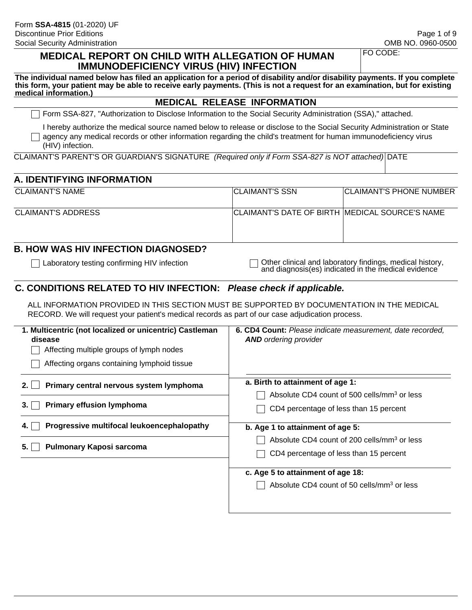#### **MEDICAL REPORT ON CHILD WITH ALLEGATION OF HUMAN IMMUNODEFICIENCY VIRUS (HIV) INFECTION**

FO CODE:

**The individual named below has filed an application for a period of disability and/or disability payments. If you complete this form, your patient may be able to receive early payments. (This is not a request for an examination, but for existing medical information.)**

#### **MEDICAL RELEASE INFORMATION**

Form SSA-827, "Authorization to Disclose Information to the Social Security Administration (SSA)," attached.

I hereby authorize the medical source named below to release or disclose to the Social Security Administration or State  $\Box$  agency any medical records or other information regarding the child's treatment for human immunodeficiency virus (HIV) infection.

CLAIMANT'S PARENT'S OR GUARDIAN'S SIGNATURE *(Required only if Form SSA-827 is NOT attached)* DATE

#### **A. IDENTIFYING INFORMATION**

| CLAIMANT'S NAME    | <b>ICLAIMANT'S SSN</b>                         | <b>CLAIMANT'S PHONE NUMBER</b> |
|--------------------|------------------------------------------------|--------------------------------|
|                    |                                                |                                |
| CLAIMANT'S ADDRESS | CLAIMANT'S DATE OF BIRTH MEDICAL SOURCE'S NAME |                                |
|                    |                                                |                                |
|                    |                                                |                                |

### **B. HOW WAS HIV INFECTION DIAGNOSED?**

Laboratory testing confirming HIV infection  $\Box$  Other clinical and laboratory findings, medical history, and diagnosis(es) indicated in the medical evidence

#### **C. CONDITIONS RELATED TO HIV INFECTION:** *Please check if applicable.*

ALL INFORMATION PROVIDED IN THIS SECTION MUST BE SUPPORTED BY DOCUMENTATION IN THE MEDICAL RECORD. We will request your patient's medical records as part of our case adjudication process.

| <b>6. CD4 Count:</b> Please indicate measurement, date recorded,<br><b>AND</b> ordering provider  |
|---------------------------------------------------------------------------------------------------|
| a. Birth to attainment of age 1:<br>Absolute CD4 count of 500 cells/mm <sup>3</sup> or less       |
| CD4 percentage of less than 15 percent                                                            |
| b. Age 1 to attainment of age 5:                                                                  |
| Absolute CD4 count of 200 cells/mm <sup>3</sup> or less<br>CD4 percentage of less than 15 percent |
| c. Age 5 to attainment of age 18:                                                                 |
| Absolute CD4 count of 50 cells/mm <sup>3</sup> or less                                            |
|                                                                                                   |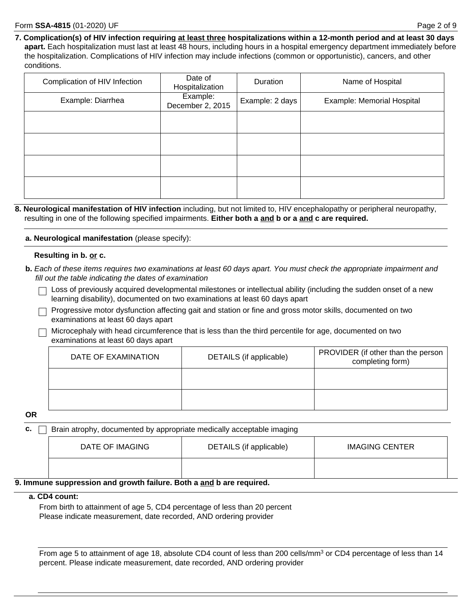**7. Complication(s) of HIV infection requiring at least three hospitalizations within a 12-month period and at least 30 days apart.** Each hospitalization must last at least 48 hours, including hours in a hospital emergency department immediately before the hospitalization. Complications of HIV infection may include infections (common or opportunistic), cancers, and other conditions.

| Complication of HIV Infection | Date of<br>Hospitalization   | Duration        | Name of Hospital           |
|-------------------------------|------------------------------|-----------------|----------------------------|
| Example: Diarrhea             | Example:<br>December 2, 2015 | Example: 2 days | Example: Memorial Hospital |
|                               |                              |                 |                            |
|                               |                              |                 |                            |
|                               |                              |                 |                            |
|                               |                              |                 |                            |

**8. Neurological manifestation of HIV infection** including, but not limited to, HIV encephalopathy or peripheral neuropathy, resulting in one of the following specified impairments. **Either both a and b or a and c are required.**

**a. Neurological manifestation** (please specify):

#### **Resulting in b. or c.**

- **b.** *Each of these items requires two examinations at least 60 days apart. You must check the appropriate impairment and fill out the table indicating the dates of examination*
	- $\Box$  Loss of previously acquired developmental milestones or intellectual ability (including the sudden onset of a new learning disability), documented on two examinations at least 60 days apart
	- $\Box$  Progressive motor dysfunction affecting gait and station or fine and gross motor skills, documented on two examinations at least 60 days apart
	- $\Box$  Microcephaly with head circumference that is less than the third percentile for age, documented on two examinations at least 60 days apart

| DATE OF EXAMINATION | DETAILS (if applicable) | PROVIDER (if other than the person  <br>completing form) |
|---------------------|-------------------------|----------------------------------------------------------|
|                     |                         |                                                          |
|                     |                         |                                                          |

**OR**

**c. Brain atrophy, documented by appropriate medically acceptable imaging** 

| DATE OF IMAGING | DETAILS (if applicable) | <b>IMAGING CENTER</b> |
|-----------------|-------------------------|-----------------------|
|                 |                         |                       |

#### **9. Immune suppression and growth failure. Both a and b are required.**

#### **a. CD4 count:**

From birth to attainment of age 5, CD4 percentage of less than 20 percent Please indicate measurement, date recorded, AND ordering provider

From age 5 to attainment of age 18, absolute CD4 count of less than 200 cells/mm<sup>3</sup> or CD4 percentage of less than 14 percent. Please indicate measurement, date recorded, AND ordering provider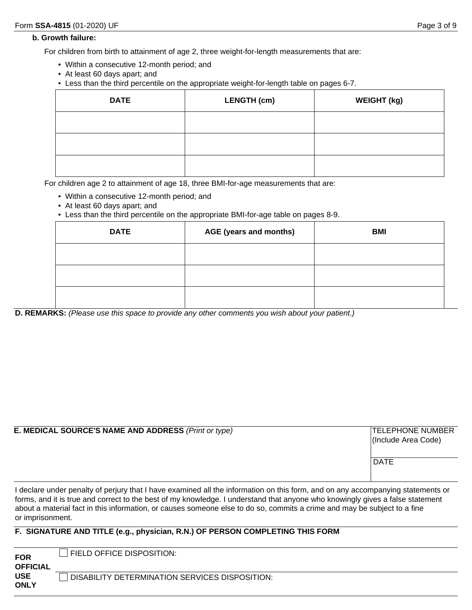#### **b. Growth failure:**

For children from birth to attainment of age 2, three weight-for-length measurements that are:

- Within a consecutive 12-month period; and
- At least 60 days apart; and
- Less than the third percentile on the appropriate weight-for-length table on pages 6-7.

| <b>DATE</b> | <b>LENGTH (cm)</b> | <b>WEIGHT (kg)</b> |
|-------------|--------------------|--------------------|
|             |                    |                    |
|             |                    |                    |
|             |                    |                    |

For children age 2 to attainment of age 18, three BMI-for-age measurements that are:

- Within a consecutive 12-month period; and
- At least 60 days apart; and
- Less than the third percentile on the appropriate BMI-for-age table on pages 8-9.

| <b>DATE</b> | AGE (years and months) | <b>BMI</b> |
|-------------|------------------------|------------|
|             |                        |            |
|             |                        |            |
|             |                        |            |

**D. REMARKS:** *(Please use this space to provide any other comments you wish about your patient.)*

| <b>E. MEDICAL SOURCE'S NAME AND ADDRESS (Print or type)</b> | <b>TELEPHONE NUMBER</b><br>(Include Area Code)<br> DATE |
|-------------------------------------------------------------|---------------------------------------------------------|
|                                                             |                                                         |

I declare under penalty of perjury that I have examined all the information on this form, and on any accompanying statements or forms, and it is true and correct to the best of my knowledge. I understand that anyone who knowingly gives a false statement about a material fact in this information, or causes someone else to do so, commits a crime and may be subject to a fine or imprisonment.

#### **F. SIGNATURE AND TITLE (e.g., physician, R.N.) OF PERSON COMPLETING THIS FORM**

| <b>FOR</b><br><b>OFFICIAL</b> | <b>FIELD OFFICE DISPOSITION:</b>                      |
|-------------------------------|-------------------------------------------------------|
| <b>USE</b><br><b>ONLY</b>     | <b>DISABILITY DETERMINATION SERVICES DISPOSITION:</b> |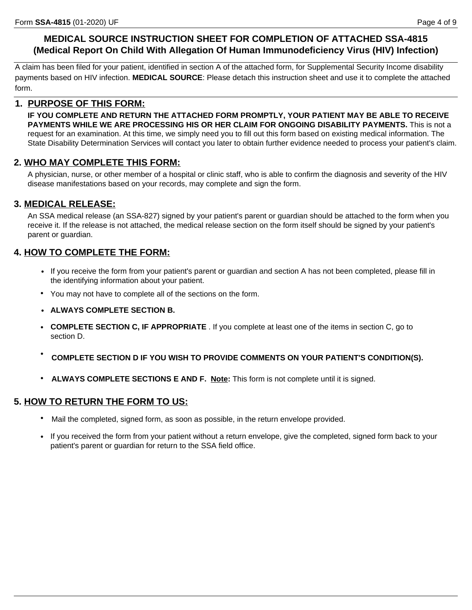## **MEDICAL SOURCE INSTRUCTION SHEET FOR COMPLETION OF ATTACHED SSA-4815 (Medical Report On Child With Allegation Of Human Immunodeficiency Virus (HIV) Infection)**

A claim has been filed for your patient, identified in section A of the attached form, for Supplemental Security Income disability payments based on HIV infection. **MEDICAL SOURCE**: Please detach this instruction sheet and use it to complete the attached form.

### **1. PURPOSE OF THIS FORM:**

**IF YOU COMPLETE AND RETURN THE ATTACHED FORM PROMPTLY, YOUR PATIENT MAY BE ABLE TO RECEIVE PAYMENTS WHILE WE ARE PROCESSING HIS OR HER CLAIM FOR ONGOING DISABILITY PAYMENTS.** This is not a request for an examination. At this time, we simply need you to fill out this form based on existing medical information. The State Disability Determination Services will contact you later to obtain further evidence needed to process your patient's claim.

### **2. WHO MAY COMPLETE THIS FORM:**

A physician, nurse, or other member of a hospital or clinic staff, who is able to confirm the diagnosis and severity of the HIV disease manifestations based on your records, may complete and sign the form.

### **3. MEDICAL RELEASE:**

An SSA medical release (an SSA-827) signed by your patient's parent or guardian should be attached to the form when you receive it. If the release is not attached, the medical release section on the form itself should be signed by your patient's parent or guardian.

## **4. HOW TO COMPLETE THE FORM:**

- If you receive the form from your patient's parent or guardian and section A has not been completed, please fill in the identifying information about your patient.
- You may not have to complete all of the sections on the form.
- **ALWAYS COMPLETE SECTION B.**
- **COMPLETE SECTION C, IF APPROPRIATE** . If you complete at least one of the items in section C, go to section D.
- **COMPLETE SECTION D IF YOU WISH TO PROVIDE COMMENTS ON YOUR PATIENT'S CONDITION(S).**
- **ALWAYS COMPLETE SECTIONS E AND F. Note:** This form is not complete until it is signed.

#### **5. HOW TO RETURN THE FORM TO US:**

- Mail the completed, signed form, as soon as possible, in the return envelope provided.
- If you received the form from your patient without a return envelope, give the completed, signed form back to your patient's parent or guardian for return to the SSA field office.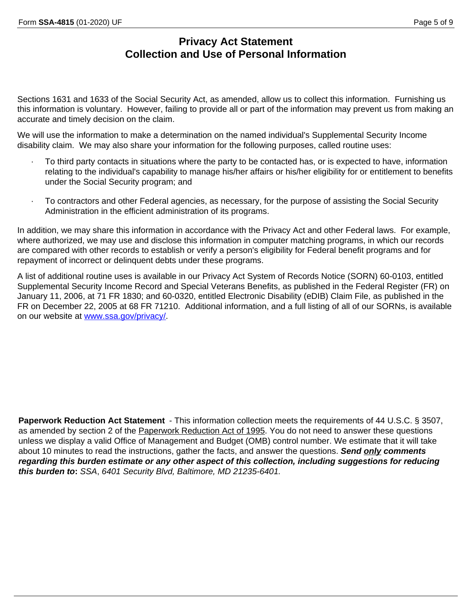## **Privacy Act Statement Collection and Use of Personal Information**

Sections 1631 and 1633 of the Social Security Act, as amended, allow us to collect this information. Furnishing us this information is voluntary. However, failing to provide all or part of the information may prevent us from making an accurate and timely decision on the claim.

We will use the information to make a determination on the named individual's Supplemental Security Income disability claim. We may also share your information for the following purposes, called routine uses:

- To third party contacts in situations where the party to be contacted has, or is expected to have, information relating to the individual's capability to manage his/her affairs or his/her eligibility for or entitlement to benefits under the Social Security program; and
- · To contractors and other Federal agencies, as necessary, for the purpose of assisting the Social Security Administration in the efficient administration of its programs.

In addition, we may share this information in accordance with the Privacy Act and other Federal laws. For example, where authorized, we may use and disclose this information in computer matching programs, in which our records are compared with other records to establish or verify a person's eligibility for Federal benefit programs and for repayment of incorrect or delinquent debts under these programs.

A list of additional routine uses is available in our Privacy Act System of Records Notice (SORN) 60-0103, entitled Supplemental Security Income Record and Special Veterans Benefits, as published in the Federal Register (FR) on January 11, 2006, at 71 FR 1830; and 60-0320, entitled Electronic Disability (eDIB) Claim File, as published in the FR on December 22, 2005 at 68 FR 71210. Additional information, and a full listing of all of our SORNs, is available on our website at [www.ssa.gov/privacy/](https://www.ssa.gov/privacy/sorn.html).

Paperwork Reduction Act Statement - This information collection meets the requirements of 44 U.S.C. § 3507, as amended by section 2 of the Paperwork Reduction Act of 1995. You do not need to answer these questions unless we display a valid Office of Management and Budget (OMB) control number. We estimate that it will take about 10 minutes to read the instructions, gather the facts, and answer the questions. *Send only comments regarding this burden estimate or any other aspect of this collection, including suggestions for reducing this burden to***:** *SSA*, *6401 Security Blvd, Baltimore, MD 21235-6401.*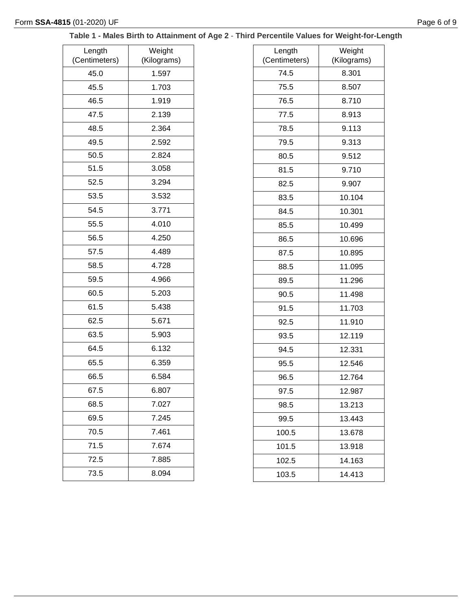### **Table 1 - Males Birth to Attainment of Age 2** - **Third Percentile Values for Weight-for-Length**

| Length                | Weight               |
|-----------------------|----------------------|
| (Centimeters)<br>45.0 | (Kilograms)<br>1.597 |
|                       |                      |
| 45.5                  | 1.703                |
| 46.5                  | 1.919                |
| 47.5                  | 2.139                |
| 48.5                  | 2.364                |
| 49.5                  | 2.592                |
| 50.5                  | 2.824                |
| 51.5                  | 3.058                |
| 52.5                  | 3.294                |
| 53.5                  | 3.532                |
| 54.5                  | 3.771                |
| 55.5                  | 4.010                |
| 56.5                  | 4.250                |
| 57.5                  | 4.489                |
| 58.5                  | 4.728                |
| 59.5                  | 4.966                |
| 60.5                  | 5.203                |
| 61.5                  | 5.438                |
| 62.5                  | 5.671                |
| 63.5                  | 5.903                |
| 64.5                  | 6.132                |
| 65.5                  | 6.359                |
| 66.5                  | 6.584                |
| 67.5                  | 6.807                |
| 68.5                  | 7.027                |
| 69.5                  | 7.245                |
| 70.5                  | 7.461                |
| 71.5                  | 7.674                |
| 72.5                  | 7.885                |
| 73.5                  | 8.094                |

| Length        | Weight      |
|---------------|-------------|
| (Centimeters) | (Kilograms) |
| 74.5          | 8.301       |
| 75.5          | 8.507       |
| 76.5          | 8.710       |
| 77.5          | 8.913       |
| 78.5          | 9.113       |
| 79.5          | 9.313       |
| 80.5          | 9.512       |
| 81.5          | 9.710       |
| 82.5          | 9.907       |
| 83.5          | 10.104      |
| 84.5          | 10.301      |
| 85.5          | 10.499      |
| 86.5          | 10.696      |
| 87.5          | 10.895      |
| 88.5          | 11.095      |
| 89.5          | 11.296      |
| 90.5          | 11.498      |
| 91.5          | 11.703      |
| 92.5          | 11.910      |
| 93.5          | 12.119      |
| 94.5          | 12.331      |
| 95.5          | 12.546      |
| 96.5          | 12.764      |
| 97.5          | 12.987      |
| 98.5          | 13.213      |
| 99.5          | 13.443      |
| 100.5         | 13.678      |
| 101.5         | 13.918      |
| 102.5         | 14.163      |
| 103.5         | 14.413      |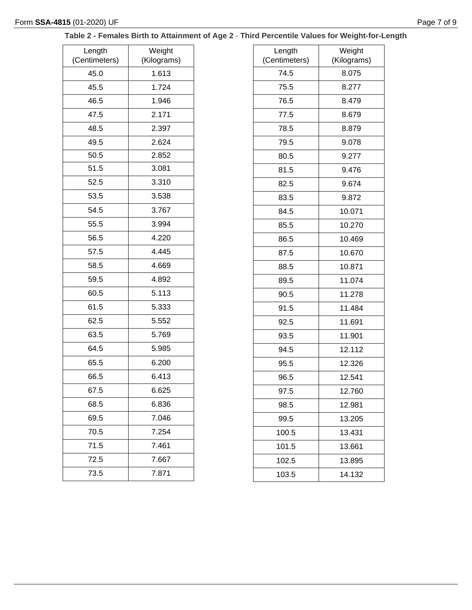### **Table 2 - Females Birth to Attainment of Age 2** - **Third Percentile Values for Weight-for-Length**

| Length<br>(Centimeters) | Weight<br>(Kilograms) |
|-------------------------|-----------------------|
| 45.0                    | 1.613                 |
| 45.5                    | 1.724                 |
| 46.5                    | 1.946                 |
| 47.5                    | 2.171                 |
| 48.5                    | 2.397                 |
| 49.5                    | 2.624                 |
| 50.5                    | 2.852                 |
| 51.5                    | 3.081                 |
| 52.5                    | 3.310                 |
| 53.5                    | 3.538                 |
| 54.5                    | 3.767                 |
| 55.5                    | 3.994                 |
| 56.5                    | 4.220                 |
| 57.5                    | 4.445                 |
| 58.5                    | 4.669                 |
| 59.5                    | 4.892                 |
| 60.5                    | 5.113                 |
| 61.5                    | 5.333                 |
| 62.5                    | 5.552                 |
| 63.5                    | 5.769                 |
| 64.5                    | 5.985                 |
| 65.5                    | 6.200                 |
| 66.5                    | 6.413                 |
| 67.5                    | 6.625                 |
| 68.5                    | 6.836                 |
| 69.5                    | 7.046                 |
| 70.5                    | 7.254                 |
| 71.5                    | 7.461                 |
| 72.5                    | 7.667                 |
| 73.5                    | 7.871                 |
|                         |                       |

| Length        | Weight      |
|---------------|-------------|
| (Centimeters) | (Kilograms) |
| 74.5          | 8.075       |
| 75.5          | 8.277       |
| 76.5          | 8.479       |
| 77.5          | 8.679       |
| 78.5          | 8.879       |
| 79.5          | 9.078       |
| 80.5          | 9.277       |
| 81.5          | 9.476       |
| 82.5          | 9.674       |
| 83.5          | 9.872       |
| 84.5          | 10.071      |
| 85.5          | 10.270      |
| 86.5          | 10.469      |
| 87.5          | 10.670      |
| 88.5          | 10.871      |
| 89.5          | 11.074      |
| 90.5          | 11.278      |
| 91.5          | 11.484      |
| 92.5          | 11.691      |
| 93.5          | 11.901      |
| 94.5          | 12.112      |
| 95.5          | 12.326      |
| 96.5          | 12.541      |
| 97.5          | 12.760      |
| 98.5          | 12.981      |
| 99.5          | 13.205      |
| 100.5         | 13.431      |
| 101.5         | 13.661      |
| 102.5         | 13.895      |
| 103.5         | 14.132      |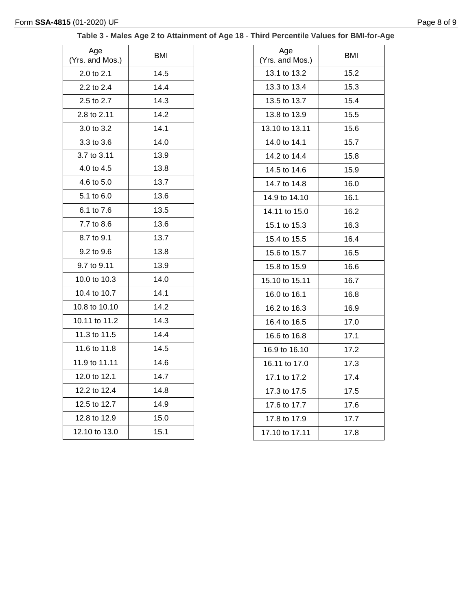# **Table 3 - Males Age 2 to Attainment of Age 18** - **Third Percentile Values for BMI-for-Age**

| Age<br>(Yrs. and Mos.) | <b>BMI</b> |
|------------------------|------------|
| 2.0 to 2.1             | 14.5       |
| 2.2 to 2.4             | 14.4       |
| 2.5 to 2.7             | 14.3       |
| 2.8 to 2.11            | 14.2       |
| 3.0 to 3.2             | 14.1       |
| 3.3 to 3.6             | 14.0       |
| 3.7 to 3.11            | 13.9       |
| 4.0 to 4.5             | 13.8       |
| 4.6 to 5.0             | 13.7       |
| 5.1 to 6.0             | 13.6       |
| 6.1 to 7.6             | 13.5       |
| 7.7 to 8.6             | 13.6       |
| 8.7 to 9.1             | 13.7       |
| 9.2 to 9.6             | 13.8       |
| 9.7 to 9.11            | 13.9       |
| 10.0 to 10.3           | 14.0       |
| 10.4 to 10.7           | 14.1       |
| 10.8 to 10.10          | 14.2       |
| 10.11 to 11.2          | 14.3       |
| 11.3 to 11.5           | 14.4       |
| 11.6 to 11.8           | 14.5       |
| 11.9 to 11.11          | 14.6       |
| 12.0 to 12.1           | 14.7       |
| 12.2 to 12.4           | 14.8       |
| 12.5 to 12.7           | 14.9       |
| 12.8 to 12.9           | 15.0       |
| 12.10 to 13.0          | 15.1       |

| Age<br>(Yrs. and Mos.) | BMI  |
|------------------------|------|
| 13.1 to 13.2           | 15.2 |
| 13.3 to 13.4           | 15.3 |
| 13.5 to 13.7           | 15.4 |
| 13.8 to 13.9           | 15.5 |
| 13.10 to 13.11         | 15.6 |
| 14.0 to 14.1           | 15.7 |
| 14.2 to 14.4           | 15.8 |
| 14.5 to 14.6           | 15.9 |
| 14.7 to 14.8           | 16.0 |
| 14.9 to 14.10          | 16.1 |
| 14.11 to 15.0          | 16.2 |
| 15.1 to 15.3           | 16.3 |
| 15.4 to 15.5           | 16.4 |
| 15.6 to 15.7           | 16.5 |
| 15.8 to 15.9           | 16.6 |
| 15.10 to 15.11         | 16.7 |
| 16.0 to 16.1           | 16.8 |
| 16.2 to 16.3           | 16.9 |
| 16.4 to 16.5           | 17.0 |
| 16.6 to 16.8           | 17.1 |
| 16.9 to 16.10          | 17.2 |
| 16.11 to 17.0          | 17.3 |
| 17.1 to 17.2           | 17.4 |
| 17.3 to 17.5           | 17.5 |
| 17.6 to 17.7           | 17.6 |
| 17.8 to 17.9           | 17.7 |
| 17.10 to 17.11         | 17.8 |